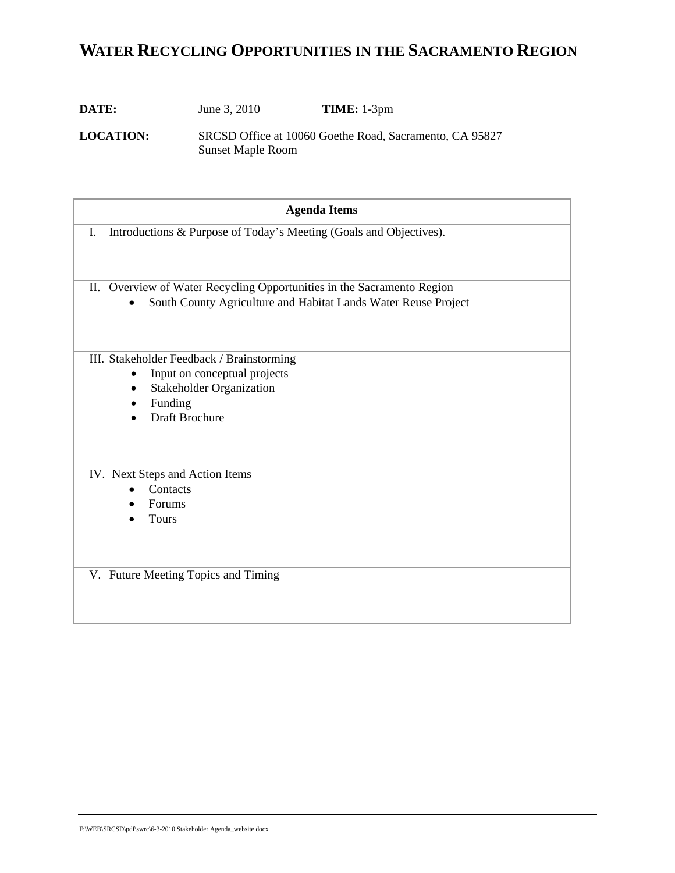# **WATER RECYCLING OPPORTUNITIES IN THE SACRAMENTO REGION**

| DATE: | June 3, 2010 | <b>TIME:</b> 1-3pm |
|-------|--------------|--------------------|
|       |              |                    |

**LOCATION:** SRCSD Office at 10060 Goethe Road, Sacramento, CA 95827 Sunset Maple Room

| <b>Agenda Items</b>                                                      |  |  |  |  |  |  |
|--------------------------------------------------------------------------|--|--|--|--|--|--|
| Introductions & Purpose of Today's Meeting (Goals and Objectives).<br>I. |  |  |  |  |  |  |
| II. Overview of Water Recycling Opportunities in the Sacramento Region   |  |  |  |  |  |  |
| South County Agriculture and Habitat Lands Water Reuse Project           |  |  |  |  |  |  |
| III. Stakeholder Feedback / Brainstorming                                |  |  |  |  |  |  |
| Input on conceptual projects                                             |  |  |  |  |  |  |
| <b>Stakeholder Organization</b><br>$\bullet$                             |  |  |  |  |  |  |
| Funding<br>Draft Brochure                                                |  |  |  |  |  |  |
|                                                                          |  |  |  |  |  |  |
| IV. Next Steps and Action Items                                          |  |  |  |  |  |  |
| Contacts                                                                 |  |  |  |  |  |  |
| Forums                                                                   |  |  |  |  |  |  |
| <b>Tours</b>                                                             |  |  |  |  |  |  |
|                                                                          |  |  |  |  |  |  |
|                                                                          |  |  |  |  |  |  |
| V. Future Meeting Topics and Timing                                      |  |  |  |  |  |  |
|                                                                          |  |  |  |  |  |  |
|                                                                          |  |  |  |  |  |  |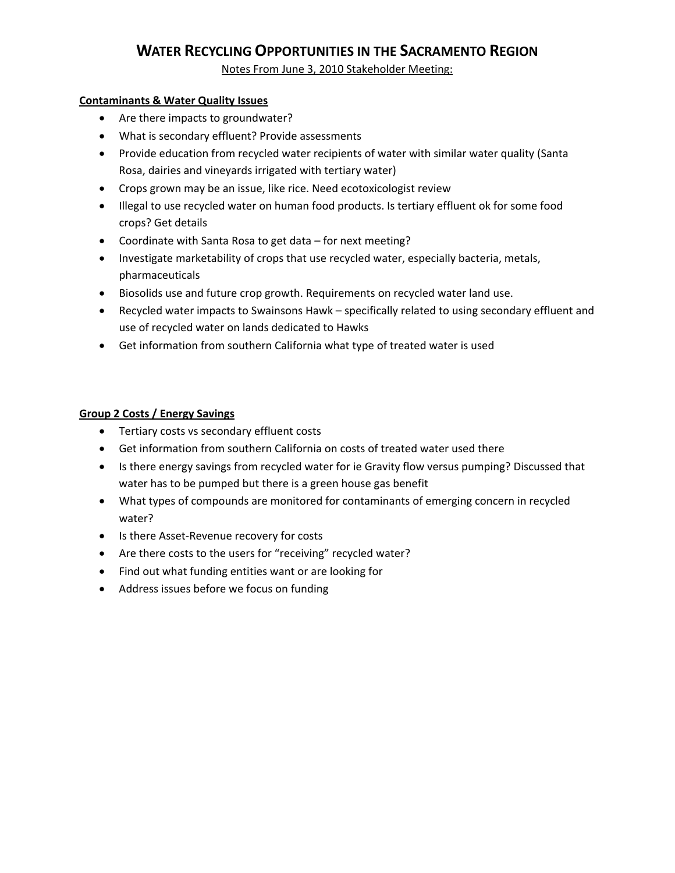## **WATER RECYCLING OPPORTUNITIES IN THE SACRAMENTO REGION**

Notes From June 3, 2010 Stakeholder Meeting:

### **Contaminants & Water Quality Issues**

- Are there impacts to groundwater?
- What is secondary effluent? Provide assessments
- Provide education from recycled water recipients of water with similar water quality (Santa Rosa, dairies and vineyards irrigated with tertiary water)
- Crops grown may be an issue, like rice. Need ecotoxicologist review
- Illegal to use recycled water on human food products. Is tertiary effluent ok for some food crops? Get details
- Coordinate with Santa Rosa to get data for next meeting?
- Investigate marketability of crops that use recycled water, especially bacteria, metals, pharmaceuticals
- Biosolids use and future crop growth. Requirements on recycled water land use.
- Recycled water impacts to Swainsons Hawk specifically related to using secondary effluent and use of recycled water on lands dedicated to Hawks
- Get information from southern California what type of treated water is used

## **Group 2 Costs / Energy Savings**

- Tertiary costs vs secondary effluent costs
- Get information from southern California on costs of treated water used there
- Is there energy savings from recycled water for ie Gravity flow versus pumping? Discussed that water has to be pumped but there is a green house gas benefit
- What types of compounds are monitored for contaminants of emerging concern in recycled water?
- Is there Asset‐Revenue recovery for costs
- Are there costs to the users for "receiving" recycled water?
- Find out what funding entities want or are looking for
- Address issues before we focus on funding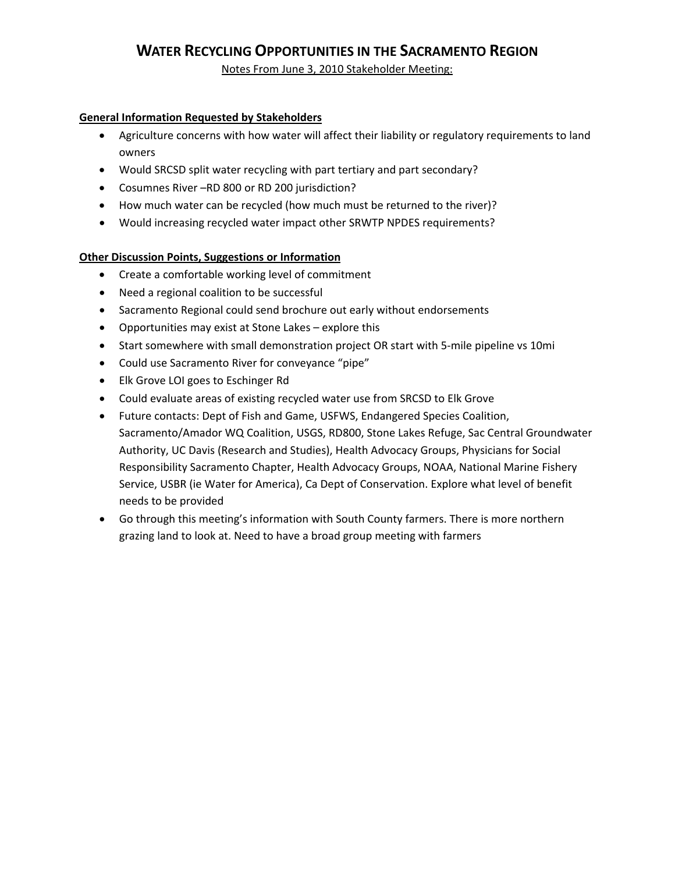## **WATER RECYCLING OPPORTUNITIES IN THE SACRAMENTO REGION**

Notes From June 3, 2010 Stakeholder Meeting:

### **General Information Requested by Stakeholders**

- Agriculture concerns with how water will affect their liability or regulatory requirements to land owners
- Would SRCSD split water recycling with part tertiary and part secondary?
- Cosumnes River –RD 800 or RD 200 jurisdiction?
- How much water can be recycled (how much must be returned to the river)?
- Would increasing recycled water impact other SRWTP NPDES requirements?

## **Other Discussion Points, Suggestions or Information**

- Create a comfortable working level of commitment
- Need a regional coalition to be successful
- Sacramento Regional could send brochure out early without endorsements
- Opportunities may exist at Stone Lakes explore this
- Start somewhere with small demonstration project OR start with 5-mile pipeline vs 10mi
- Could use Sacramento River for conveyance "pipe"
- Elk Grove LOI goes to Eschinger Rd
- Could evaluate areas of existing recycled water use from SRCSD to Elk Grove
- Future contacts: Dept of Fish and Game, USFWS, Endangered Species Coalition, Sacramento/Amador WQ Coalition, USGS, RD800, Stone Lakes Refuge, Sac Central Groundwater Authority, UC Davis (Research and Studies), Health Advocacy Groups, Physicians for Social Responsibility Sacramento Chapter, Health Advocacy Groups, NOAA, National Marine Fishery Service, USBR (ie Water for America), Ca Dept of Conservation. Explore what level of benefit needs to be provided
- Go through this meeting's information with South County farmers. There is more northern grazing land to look at. Need to have a broad group meeting with farmers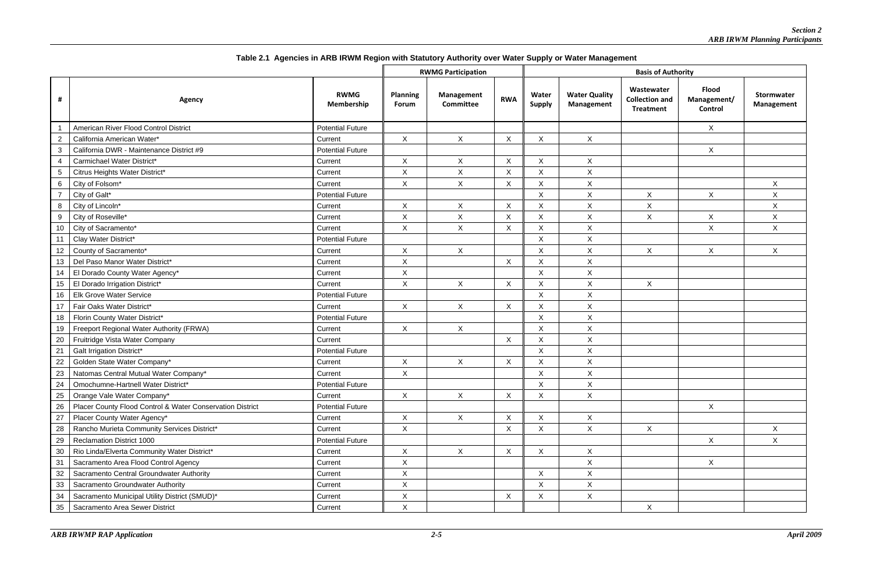|        |                                                           |                           | <b>RWMG Participation</b>       |                                |                | <b>Basis of Authority</b> |                                           |                                                         |                                        |                          |
|--------|-----------------------------------------------------------|---------------------------|---------------------------------|--------------------------------|----------------|---------------------------|-------------------------------------------|---------------------------------------------------------|----------------------------------------|--------------------------|
|        | Agency                                                    | <b>RWMG</b><br>Membership | <b>Planning</b><br><b>Forum</b> | Management<br><b>Committee</b> | <b>RWA</b>     | Water<br><b>Supply</b>    | <b>Water Quality</b><br><b>Management</b> | Wastewater<br><b>Collection and</b><br><b>Treatment</b> | <b>Flood</b><br>Management/<br>Control | Stormwater<br>Management |
|        | American River Flood Control District                     | <b>Potential Future</b>   |                                 |                                |                |                           |                                           |                                                         | X                                      |                          |
|        | California American Water*                                | Current                   | X                               | $\boldsymbol{\mathsf{X}}$      | $\pmb{\times}$ | Χ                         | X                                         |                                                         |                                        |                          |
| 3      | California DWR - Maintenance District #9                  | <b>Potential Future</b>   |                                 |                                |                |                           |                                           |                                                         | X                                      |                          |
| 4      | Carmichael Water District*                                | Current                   | X                               | X                              | $\pmb{\times}$ | X                         | X                                         |                                                         |                                        |                          |
| 5      | Citrus Heights Water District*                            | Current                   | X                               | $\pmb{\times}$                 | $\pmb{\times}$ | $\sf X$                   | X                                         |                                                         |                                        |                          |
| 6      | City of Folsom*                                           | Current                   | X                               | X                              | X              | X                         | X                                         |                                                         |                                        | $\sf X$                  |
|        | City of Galt*                                             | <b>Potential Future</b>   |                                 |                                |                | X                         | $\boldsymbol{\mathsf{X}}$                 | X                                                       | $\mathsf{X}$                           | $\times$                 |
| 8      | City of Lincoln*                                          | Current                   | Χ                               | X                              | X              | X                         | Χ                                         | $\pmb{\times}$                                          |                                        | X                        |
| 9      | City of Roseville*                                        | Current                   | $\pmb{\times}$                  | $\pmb{\times}$                 | X              | Χ                         | X                                         | $\boldsymbol{\mathsf{X}}$                               | $\pmb{\times}$                         | $\times$                 |
| 10     | City of Sacramento*                                       | Current                   | X                               | $\boldsymbol{\mathsf{X}}$      | $\pmb{\times}$ | Χ                         | $\mathsf X$                               |                                                         | X                                      | $\mathsf X$              |
| 11     | Clay Water District*                                      | <b>Potential Future</b>   |                                 |                                |                | X                         | X                                         |                                                         |                                        |                          |
| 12     | County of Sacramento*                                     | Current                   | X.                              | $\mathsf{X}$                   |                | X                         | X                                         | $\sf X$                                                 | $\mathsf{X}$                           | $\mathsf{X}$             |
| 13     | Del Paso Manor Water District*                            | Current                   | Χ                               |                                | X              | X                         | X                                         |                                                         |                                        |                          |
| 14     | El Dorado County Water Agency*                            | Current                   | Χ                               |                                |                | X                         | $\boldsymbol{\mathsf{X}}$                 |                                                         |                                        |                          |
| 15     | El Dorado Irrigation District*                            | Current                   | X                               | $\boldsymbol{\mathsf{X}}$      | X              | X                         | X                                         | $\mathsf{X}$                                            |                                        |                          |
| 16     | <b>Elk Grove Water Service</b>                            | <b>Potential Future</b>   |                                 |                                |                | X                         | $\pmb{\times}$                            |                                                         |                                        |                          |
| 17     | Fair Oaks Water District*                                 | Current                   | X                               | X                              | X              | X                         | X                                         |                                                         |                                        |                          |
| 18     | Florin County Water District*                             | <b>Potential Future</b>   |                                 |                                |                | X                         | $\mathsf X$                               |                                                         |                                        |                          |
| 19     | Freeport Regional Water Authority (FRWA)                  | Current                   | X                               | $\pmb{\times}$                 |                | X                         | $\sf X$                                   |                                                         |                                        |                          |
| 20     | Fruitridge Vista Water Company                            | Current                   |                                 |                                | X              | Χ                         | $\mathsf X$                               |                                                         |                                        |                          |
| 21     | <b>Galt Irrigation District*</b>                          | <b>Potential Future</b>   |                                 |                                |                | X                         | $\boldsymbol{\mathsf{X}}$                 |                                                         |                                        |                          |
| 22     | Golden State Water Company*                               | Current                   | X                               | X                              | X              | X                         | X                                         |                                                         |                                        |                          |
| 23     | Natomas Central Mutual Water Company*                     | Current                   | X                               |                                |                | $\mathsf X$               | X                                         |                                                         |                                        |                          |
| 24     | Omochumne-Hartnell Water District*                        | <b>Potential Future</b>   |                                 |                                |                | X                         | X                                         |                                                         |                                        |                          |
| 25     | Orange Vale Water Company*                                | Current                   | X                               | $\mathsf{X}$                   | X              | $\pmb{\times}$            | $\mathsf{X}$                              |                                                         |                                        |                          |
| 26     | Placer County Flood Control & Water Conservation District | <b>Potential Future</b>   |                                 |                                |                |                           |                                           |                                                         | X                                      |                          |
| $27\,$ | Placer County Water Agency*                               | Current                   | X                               | X                              | X              | X                         | X                                         |                                                         |                                        |                          |
| 28     | Rancho Murieta Community Services District*               | Current                   | X                               |                                | X              | X                         | X                                         | $\mathsf{X}$                                            |                                        | $\mathsf{X}$             |
| 29     | <b>Reclamation District 1000</b>                          | <b>Potential Future</b>   |                                 |                                |                |                           |                                           |                                                         | X                                      | $\pmb{\times}$           |
| 30     | Rio Linda/Elverta Community Water District*               | Current                   | X                               | $\mathsf{X}$                   | X              | X                         | X                                         |                                                         |                                        |                          |
| 31     | Sacramento Area Flood Control Agency                      | Current                   | $\mathsf{X}$                    |                                |                |                           | X                                         |                                                         | $\mathsf{X}$                           |                          |
| 32     | Sacramento Central Groundwater Authority                  | Current                   | X                               |                                |                | X                         | X                                         |                                                         |                                        |                          |
| 33     | Sacramento Groundwater Authority                          | Current                   | X                               |                                |                | X                         | X                                         |                                                         |                                        |                          |
| 34     | Sacramento Municipal Utility District (SMUD)*             | Current                   | $\mathsf{X}$                    |                                | X              | Χ                         | X                                         |                                                         |                                        |                          |
| 35     | Sacramento Area Sewer District                            | Current                   | X                               |                                |                |                           |                                           | $\mathsf{X}$                                            |                                        |                          |

**Table 2.1 Agencies in ARB IRWM Region with Statutory Authority over Water Supply or Water Management**